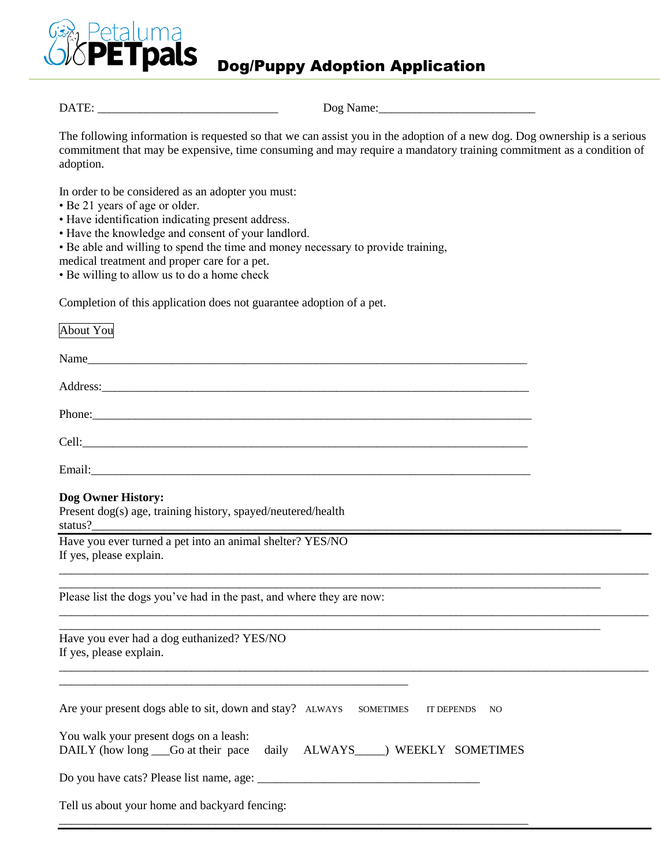

DATE: \_\_\_\_\_\_\_\_\_\_\_\_\_\_\_\_\_\_\_\_\_\_\_\_\_\_\_\_\_\_ Dog Name:\_\_\_\_\_\_\_\_\_\_\_\_\_\_\_\_\_\_\_\_\_\_\_\_\_\_

The following information is requested so that we can assist you in the adoption of a new dog. Dog ownership is a serious commitment that may be expensive, time consuming and may require a mandatory training commitment as a condition of adoption.

In order to be considered as an adopter you must:

- Be 21 years of age or older.
- Have identification indicating present address.
- Have the knowledge and consent of your landlord.
- Be able and willing to spend the time and money necessary to provide training,

medical treatment and proper care for a pet.

• Be willing to allow us to do a home check

Completion of this application does not guarantee adoption of a pet.

| About You                                                                                                                                                                                                                                                            |
|----------------------------------------------------------------------------------------------------------------------------------------------------------------------------------------------------------------------------------------------------------------------|
|                                                                                                                                                                                                                                                                      |
| Address: Andreas Address: Address: Address: Address: Address: Address: Address: Address: Address: Address: Address: Address: Address: Address: Address: Address: Address: Address: Address: Address: Address: Address: Address                                       |
| Phone: New York Contract the Contract of the Contract of the Contract of the Contract of the Contract of the Contract of the Contract of the Contract of the Contract of the Contract of the Contract of the Contract of the C                                       |
|                                                                                                                                                                                                                                                                      |
|                                                                                                                                                                                                                                                                      |
| Dog Owner History:<br>Present dog(s) age, training history, spayed/neutered/health<br>status?<br>status?<br>Have you ever turned a pet into an animal shelter? YES/NO                                                                                                |
| If yes, please explain.                                                                                                                                                                                                                                              |
| Please list the dogs you've had in the past, and where they are now:<br>,我们也不能在这里的人,我们也不能在这里的人,我们也不能在这里的人,我们也不能在这里的人,我们也不能在这里的人,我们也不能在这里的人,我们也不能在这里的人,我们也                                                                                                            |
| Have you ever had a dog euthanized? YES/NO<br>If yes, please explain.<br><u> 1989 - Johann Barn, amerikan bernama di sebagai bernama dan bernama di sebagai bernama di sebagai bernama di</u><br><u> 1989 - Andrea Stadt Britain, amerikansk politiker (d. 1989)</u> |
| Are your present dogs able to sit, down and stay? ALWAYS SOMETIMES<br>IT DEPENDS NO                                                                                                                                                                                  |
| You walk your present dogs on a leash:<br>DAILY (how long Go at their pace daily ALWAYS WEEKLY SOMETIMES                                                                                                                                                             |
|                                                                                                                                                                                                                                                                      |
| Tell us about your home and backyard fencing:                                                                                                                                                                                                                        |